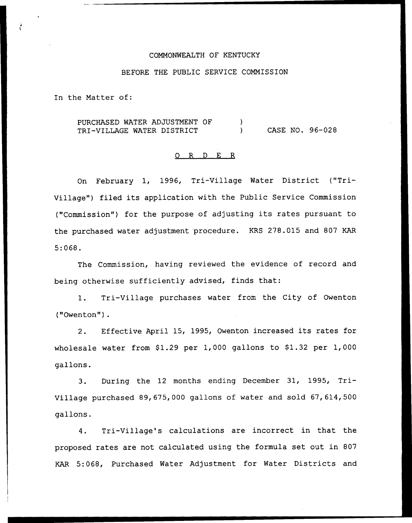## COMMONWEALTH OF KENTUCKY

### BEFORE THE PUBLIC SERVICE COMMISSION

In the Matter of:

PURCHASED WATER ADJUSTMENT OF  $\lambda$ TRI-VILLAGE WATER DISTRICT (2008) CASE NO. 96-028

#### 0 R <sup>D</sup> E R

On February 1, 1996, Tri-Village Water District ("Tri-Village") filed its application with the Public Service Commission ("Commission") for the purpose of adjusting its rates pursuant to the purchased water adjustment procedure. KRS 278.015 and 807 KAR 5:068.

The Commission, having reviewed the evidence of record and being otherwise sufficiently advised, finds that:

1. Tri-Village purchases water from the City of Owenton ("Owenton").

2. Effective April 15, 1995, Owenton increased its rates for wholesale water from  $$1.29$  per 1,000 gallons to  $$1.32$  per 1,000 gallons.

3. During the <sup>12</sup> months ending December 31, 1995, Tri-Village purchased 89, 675,000 gallons of water and sold 67, 614, 500 gallons.

4. Tri-Village's calculations are incorrect in that the proposed rates are not calculated using the formula set out in 807 KAR 5:068, Purchased Water Adjustment for Water Districts and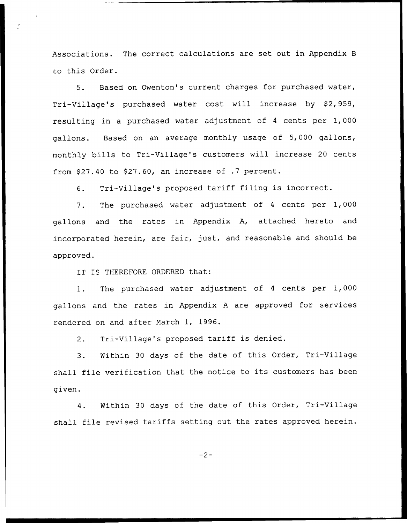Associations. The correct calculations are set out in Appendix <sup>B</sup> to this Order.

5. Based on Owenton's current charges for purchased water, Tri-Village's purchased water cost will increase by S2, 959, resulting in a purchased water adjustment of <sup>4</sup> cents per 1,000 gallons. Based on an average monthly usage of 5, 000 gallons, monthly bills to Tri-Village's customers will increase 20 cents from  $$27.40$  to  $$27.60$ , an increase of .7 percent.

6. Tri-Village's proposed tariff filing is incorrect.

7. The purchased water adjustment of <sup>4</sup> cents per 1,000 gallons and the rates in Appendix A, attached hereto and incorporated herein, are fair, just, and reasonable and should be approved.

IT IS THEREFORE ORDERED that:

1. The purchased water adjustment of <sup>4</sup> cents per 1,000 gallons and the rates in Appendix <sup>A</sup> are approved for services rendered on and after March 1, 1996.

2. Tri-Village's proposed tariff is denied.

3. Within 30 days of the date of this Order, Tri-Village shall file verification that the notice to its customers has been given.

4. Within 30 days of the date of this Order, Tri-Village shall file revised tariffs setting out the rates approved herein.

 $-2-$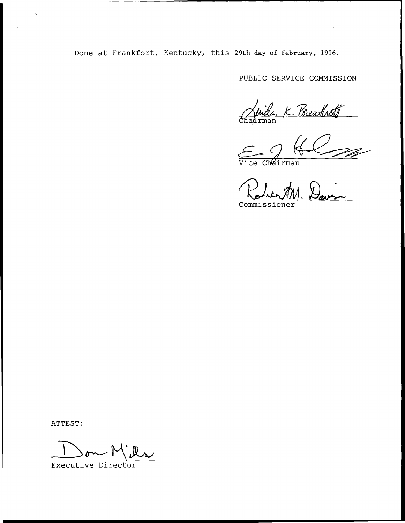Done at Frankfort, Kentucky, this 29th day of February, 1996.

PUBLIC SERVICE COMMISSION

Chapter K Breathoff

 $\epsilon$   $\sqrt{q}$ 

Commissioner

ATTEST:

ć

Executive Director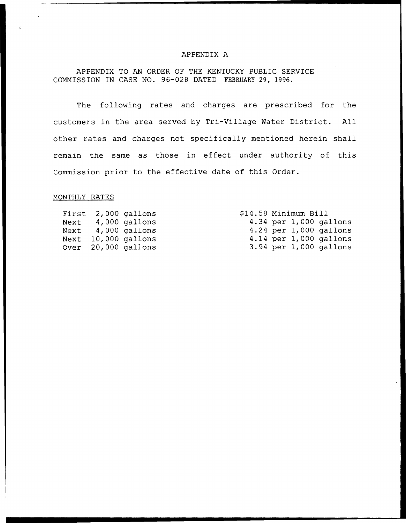### APPENDIX A

APPENDIX TO AN ORDER OF THE KENTUCKY PUBLIC SERVICE COMMISSION IN CASE NO. 96-028 DATED FEBRUARY 29, 1996.

The following rates and charges are prescribed for the customers in the area served by Tri-Village Water District. All other rates and charges not specifically mentioned herein shall remain the same as those in effect under authority of this Commission prior to the effective date of this Order.

### MONTHLY RATES

|  | First 2,000 gallons | \$14.58 Minimum Bill |  |                            |
|--|---------------------|----------------------|--|----------------------------|
|  | Next 4,000 gallons  |                      |  | 4.34 per 1,000 gallons     |
|  | Next 4,000 gallons  |                      |  | $4.24$ per 1,000 gallons   |
|  | Next 10,000 gallons |                      |  | 4.14 per $1,000$ gallons   |
|  | Over 20,000 gallons |                      |  | $3.94$ per $1,000$ gallons |